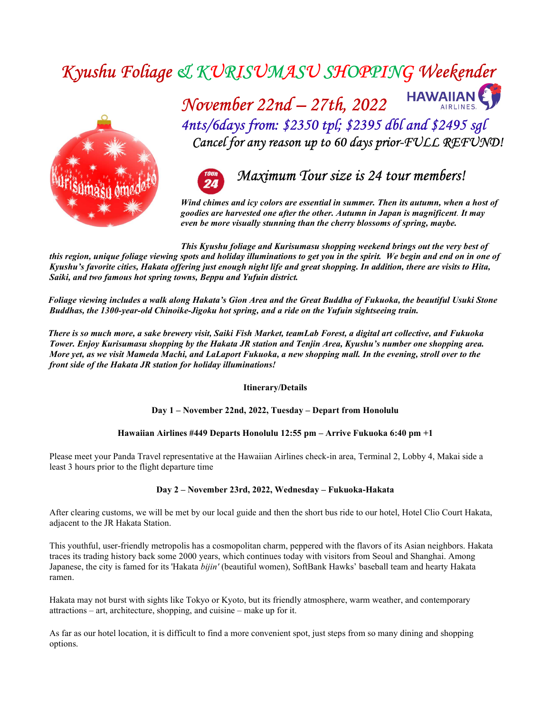# Kyushu Foliage & KURISUMASU SHOPPING Weekender



November  $22n\ell - 27t\ell$ ,  $2022$  HAWAIIAN 4nts/6days from: \$2350 tpl; \$2395 dbl and \$2495 sgl Cancel for any reason up to 60 days prior-FULL REFUND!



Wind chimes and icy colors are essential in summer. Then its autumn, when a host of goodies are harvested one after the other. Autumn in Japan is magnificent. It may even be more visually stunning than the cherry blossoms of spring, maybe.

This Kyushu foliage and Kurisumasu shopping weekend brings out the very best of this region, unique foliage viewing spots and holiday illuminations to get you in the spirit. We begin and end on in one of Kyushu's favorite cities, Hakata offering just enough night life and great shopping. In addition, there are visits to Hita, Saiki, and two famous hot spring towns, Beppu and Yufuin district.

 Foliage viewing includes a walk along Hakata's Gion Area and the Great Buddha of Fukuoka, the beautiful Usuki Stone Buddhas, the 1300-year-old Chinoike-Jigoku hot spring, and a ride on the Yufuin sightseeing train.

 There is so much more, a sake brewery visit, Saiki Fish Market, teamLab Forest, a digital art collective, and Fukuoka Tower. Enjoy Kurisumasu shopping by the Hakata JR station and Tenjin Area, Kyushu's number one shopping area. More yet, as we visit Mameda Machi, and LaLaport Fukuoka, a new shopping mall. In the evening, stroll over to the front side of the Hakata JR station for holiday illuminations!

#### Itinerary/Details

Day 1 – November 22nd, 2022, Tuesday – Depart from Honolulu

#### Hawaiian Airlines #449 Departs Honolulu 12:55 pm – Arrive Fukuoka 6:40 pm +1

Please meet your Panda Travel representative at the Hawaiian Airlines check-in area, Terminal 2, Lobby 4, Makai side a least 3 hours prior to the flight departure time

#### Day 2 – November 23rd, 2022, Wednesday – Fukuoka-Hakata

After clearing customs, we will be met by our local guide and then the short bus ride to our hotel, Hotel Clio Court Hakata, adjacent to the JR Hakata Station.

This youthful, user-friendly metropolis has a cosmopolitan charm, peppered with the flavors of its Asian neighbors. Hakata traces its trading history back some 2000 years, which continues today with visitors from Seoul and Shanghai. Among Japanese, the city is famed for its 'Hakata bijin' (beautiful women), SoftBank Hawks' baseball team and hearty Hakata ramen.

Hakata may not burst with sights like Tokyo or Kyoto, but its friendly atmosphere, warm weather, and contemporary attractions – art, architecture, shopping, and cuisine – make up for it.

As far as our hotel location, it is difficult to find a more convenient spot, just steps from so many dining and shopping options.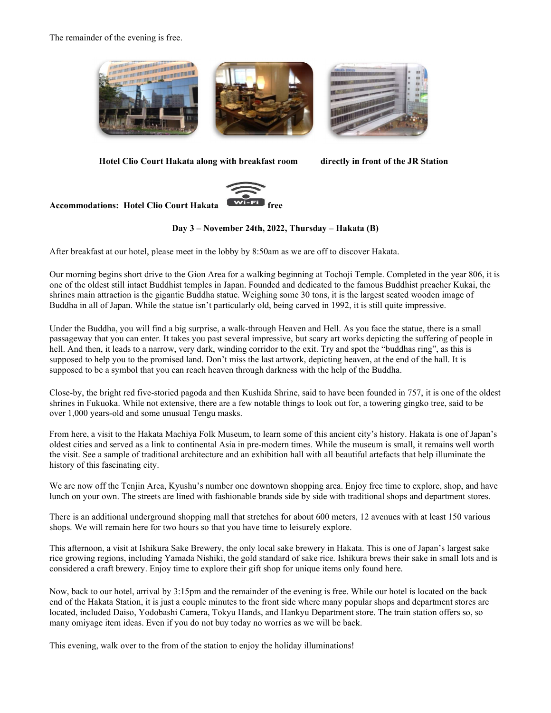The remainder of the evening is free.



Hotel Clio Court Hakata along with breakfast room directly in front of the JR Station



# Accommodations: Hotel Clio Court Hakata

#### Day 3 – November 24th, 2022, Thursday – Hakata (B)

After breakfast at our hotel, please meet in the lobby by 8:50am as we are off to discover Hakata.

Our morning begins short drive to the Gion Area for a walking beginning at Tochoji Temple. Completed in the year 806, it is one of the oldest still intact Buddhist temples in Japan. Founded and dedicated to the famous Buddhist preacher Kukai, the shrines main attraction is the gigantic Buddha statue. Weighing some 30 tons, it is the largest seated wooden image of Buddha in all of Japan. While the statue isn't particularly old, being carved in 1992, it is still quite impressive.

Under the Buddha, you will find a big surprise, a walk-through Heaven and Hell. As you face the statue, there is a small passageway that you can enter. It takes you past several impressive, but scary art works depicting the suffering of people in hell. And then, it leads to a narrow, very dark, winding corridor to the exit. Try and spot the "buddhas ring", as this is supposed to help you to the promised land. Don't miss the last artwork, depicting heaven, at the end of the hall. It is supposed to be a symbol that you can reach heaven through darkness with the help of the Buddha.

Close-by, the bright red five-storied pagoda and then Kushida Shrine, said to have been founded in 757, it is one of the oldest shrines in Fukuoka. While not extensive, there are a few notable things to look out for, a towering gingko tree, said to be over 1,000 years-old and some unusual Tengu masks.

From here, a visit to the Hakata Machiya Folk Museum, to learn some of this ancient city's history. Hakata is one of Japan's oldest cities and served as a link to continental Asia in pre-modern times. While the museum is small, it remains well worth the visit. See a sample of traditional architecture and an exhibition hall with all beautiful artefacts that help illuminate the history of this fascinating city.

We are now off the Tenjin Area, Kyushu's number one downtown shopping area. Enjoy free time to explore, shop, and have lunch on your own. The streets are lined with fashionable brands side by side with traditional shops and department stores.

There is an additional underground shopping mall that stretches for about 600 meters, 12 avenues with at least 150 various shops. We will remain here for two hours so that you have time to leisurely explore.

This afternoon, a visit at Ishikura Sake Brewery, the only local sake brewery in Hakata. This is one of Japan's largest sake rice growing regions, including Yamada Nishiki, the gold standard of sake rice. Ishikura brews their sake in small lots and is considered a craft brewery. Enjoy time to explore their gift shop for unique items only found here.

Now, back to our hotel, arrival by 3:15pm and the remainder of the evening is free. While our hotel is located on the back end of the Hakata Station, it is just a couple minutes to the front side where many popular shops and department stores are located, included Daiso, Yodobashi Camera, Tokyu Hands, and Hankyu Department store. The train station offers so, so many omiyage item ideas. Even if you do not buy today no worries as we will be back.

This evening, walk over to the from of the station to enjoy the holiday illuminations!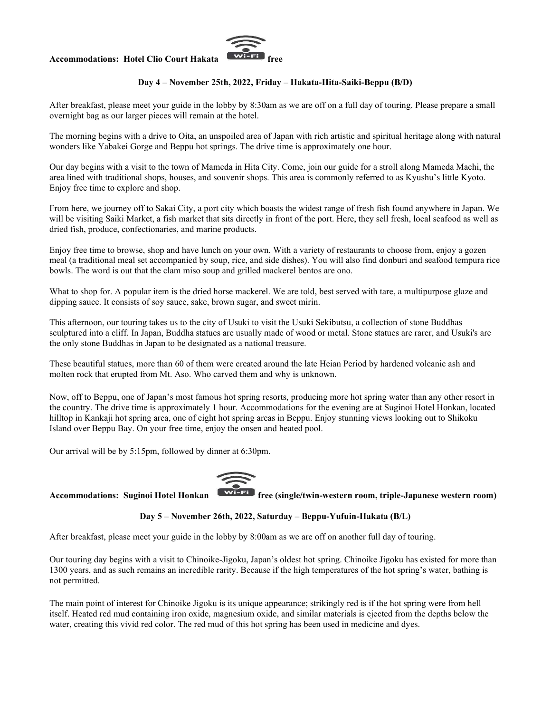#### Accommodations: Hotel Clio Court Hakata



### Day 4 – November 25th, 2022, Friday – Hakata-Hita-Saiki-Beppu (B/D)

After breakfast, please meet your guide in the lobby by 8:30am as we are off on a full day of touring. Please prepare a small overnight bag as our larger pieces will remain at the hotel.

The morning begins with a drive to Oita, an unspoiled area of Japan with rich artistic and spiritual heritage along with natural wonders like Yabakei Gorge and Beppu hot springs. The drive time is approximately one hour.

Our day begins with a visit to the town of Mameda in Hita City. Come, join our guide for a stroll along Mameda Machi, the area lined with traditional shops, houses, and souvenir shops. This area is commonly referred to as Kyushu's little Kyoto. Enjoy free time to explore and shop.

From here, we journey off to Sakai City, a port city which boasts the widest range of fresh fish found anywhere in Japan. We will be visiting Saiki Market, a fish market that sits directly in front of the port. Here, they sell fresh, local seafood as well as dried fish, produce, confectionaries, and marine products.

Enjoy free time to browse, shop and have lunch on your own. With a variety of restaurants to choose from, enjoy a gozen meal (a traditional meal set accompanied by soup, rice, and side dishes). You will also find donburi and seafood tempura rice bowls. The word is out that the clam miso soup and grilled mackerel bentos are ono.

What to shop for. A popular item is the dried horse mackerel. We are told, best served with tare, a multipurpose glaze and dipping sauce. It consists of soy sauce, sake, brown sugar, and sweet mirin.

This afternoon, our touring takes us to the city of Usuki to visit the Usuki Sekibutsu, a collection of stone Buddhas sculptured into a cliff. In Japan, Buddha statues are usually made of wood or metal. Stone statues are rarer, and Usuki's are the only stone Buddhas in Japan to be designated as a national treasure.

These beautiful statues, more than 60 of them were created around the late Heian Period by hardened volcanic ash and molten rock that erupted from Mt. Aso. Who carved them and why is unknown.

Now, off to Beppu, one of Japan's most famous hot spring resorts, producing more hot spring water than any other resort in the country. The drive time is approximately 1 hour. Accommodations for the evening are at Suginoi Hotel Honkan, located hilltop in Kankaji hot spring area, one of eight hot spring areas in Beppu. Enjoy stunning views looking out to Shikoku Island over Beppu Bay. On your free time, enjoy the onsen and heated pool.

Our arrival will be by 5:15pm, followed by dinner at 6:30pm.



Accommodations: Suginoi Hotel Honkan **Franking free (single/twin-western room, triple-Japanese western room)** 

#### Day 5 – November 26th, 2022, Saturday – Beppu-Yufuin-Hakata (B/L)

After breakfast, please meet your guide in the lobby by 8:00am as we are off on another full day of touring.

Our touring day begins with a visit to Chinoike-Jigoku, Japan's oldest hot spring. Chinoike Jigoku has existed for more than 1300 years, and as such remains an incredible rarity. Because if the high temperatures of the hot spring's water, bathing is not permitted.

The main point of interest for Chinoike Jigoku is its unique appearance; strikingly red is if the hot spring were from hell itself. Heated red mud containing iron oxide, magnesium oxide, and similar materials is ejected from the depths below the water, creating this vivid red color. The red mud of this hot spring has been used in medicine and dyes.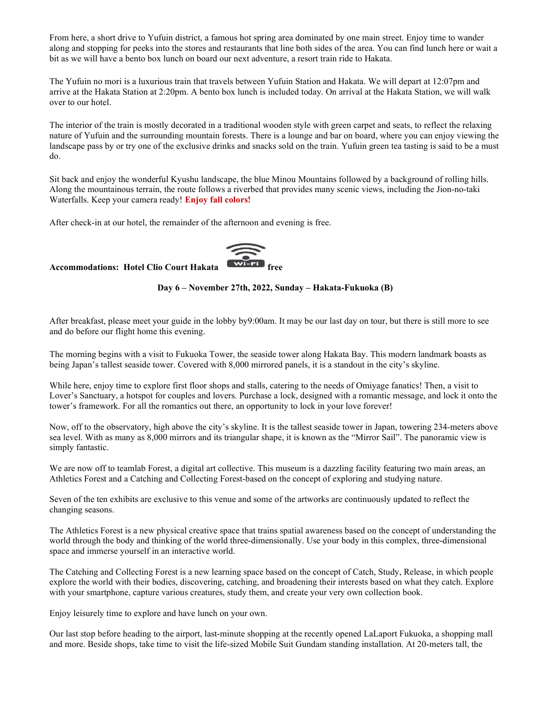From here, a short drive to Yufuin district, a famous hot spring area dominated by one main street. Enjoy time to wander along and stopping for peeks into the stores and restaurants that line both sides of the area. You can find lunch here or wait a bit as we will have a bento box lunch on board our next adventure, a resort train ride to Hakata.

The Yufuin no mori is a luxurious train that travels between Yufuin Station and Hakata. We will depart at 12:07pm and arrive at the Hakata Station at 2:20pm. A bento box lunch is included today. On arrival at the Hakata Station, we will walk over to our hotel.

The interior of the train is mostly decorated in a traditional wooden style with green carpet and seats, to reflect the relaxing nature of Yufuin and the surrounding mountain forests. There is a lounge and bar on board, where you can enjoy viewing the landscape pass by or try one of the exclusive drinks and snacks sold on the train. Yufuin green tea tasting is said to be a must do.

Sit back and enjoy the wonderful Kyushu landscape, the blue Minou Mountains followed by a background of rolling hills. Along the mountainous terrain, the route follows a riverbed that provides many scenic views, including the Jion-no-taki Waterfalls. Keep your camera ready! Enjoy fall colors!

After check-in at our hotel, the remainder of the afternoon and evening is free.

Accommodations: Hotel Clio Court Hakata  $\overbrace{\text{w_{i-Fi}}$  free



#### Day 6 – November 27th, 2022, Sunday – Hakata-Fukuoka (B)

After breakfast, please meet your guide in the lobby by9:00am. It may be our last day on tour, but there is still more to see and do before our flight home this evening.

The morning begins with a visit to Fukuoka Tower, the seaside tower along Hakata Bay. This modern landmark boasts as being Japan's tallest seaside tower. Covered with 8,000 mirrored panels, it is a standout in the city's skyline.

While here, enjoy time to explore first floor shops and stalls, catering to the needs of Omiyage fanatics! Then, a visit to Lover's Sanctuary, a hotspot for couples and lovers. Purchase a lock, designed with a romantic message, and lock it onto the tower's framework. For all the romantics out there, an opportunity to lock in your love forever!

Now, off to the observatory, high above the city's skyline. It is the tallest seaside tower in Japan, towering 234-meters above sea level. With as many as 8,000 mirrors and its triangular shape, it is known as the "Mirror Sail". The panoramic view is simply fantastic.

We are now off to teamlab Forest, a digital art collective. This museum is a dazzling facility featuring two main areas, an Athletics Forest and a Catching and Collecting Forest-based on the concept of exploring and studying nature.

Seven of the ten exhibits are exclusive to this venue and some of the artworks are continuously updated to reflect the changing seasons.

The Athletics Forest is a new physical creative space that trains spatial awareness based on the concept of understanding the world through the body and thinking of the world three-dimensionally. Use your body in this complex, three-dimensional space and immerse yourself in an interactive world.

The Catching and Collecting Forest is a new learning space based on the concept of Catch, Study, Release, in which people explore the world with their bodies, discovering, catching, and broadening their interests based on what they catch. Explore with your smartphone, capture various creatures, study them, and create your very own collection book.

Enjoy leisurely time to explore and have lunch on your own.

Our last stop before heading to the airport, last-minute shopping at the recently opened LaLaport Fukuoka, a shopping mall and more. Beside shops, take time to visit the life-sized Mobile Suit Gundam standing installation. At 20-meters tall, the